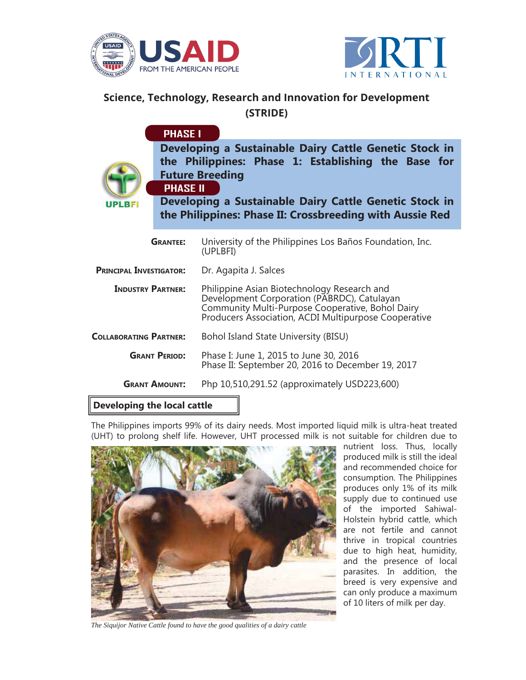



## **Science, Technology, Research and Innovation for Development (STRIDE)**

|                                | <b>PHASE I</b>  |                                                                                                                                                                                                                                                               |
|--------------------------------|-----------------|---------------------------------------------------------------------------------------------------------------------------------------------------------------------------------------------------------------------------------------------------------------|
| <b>UPLBFI</b>                  | <b>PHASE II</b> | Developing a Sustainable Dairy Cattle Genetic Stock in<br>the Philippines: Phase 1: Establishing the Base for<br><b>Future Breeding</b><br>Developing a Sustainable Dairy Cattle Genetic Stock in<br>the Philippines: Phase II: Crossbreeding with Aussie Red |
|                                | <b>GRANTEE:</b> | University of the Philippines Los Baños Foundation, Inc.<br>(UPLBFI)                                                                                                                                                                                          |
| <b>PRINCIPAL INVESTIGATOR:</b> |                 | Dr. Agapita J. Salces                                                                                                                                                                                                                                         |
| <b>INDUSTRY PARTNER:</b>       |                 | Philippine Asian Biotechnology Research and<br>Development Corporation (PABRDC), Catulayan<br>Community Multi-Purpose Cooperative, Bohol Dairy<br>Producers Association, ACDI Multipurpose Cooperative                                                        |
| <b>COLLABORATING PARTNER:</b>  |                 | Bohol Island State University (BISU)                                                                                                                                                                                                                          |
| <b>GRANT PERIOD:</b>           |                 | Phase I: June 1, 2015 to June 30, 2016<br>Phase II: September 20, 2016 to December 19, 2017                                                                                                                                                                   |
| <b>GRANT AMOUNT:</b>           |                 | Php 10,510,291.52 (approximately USD223,600)                                                                                                                                                                                                                  |

## **Developing the local cattle**

The Philippines imports 99% of its dairy needs. Most imported liquid milk is ultra-heat treated (UHT) to prolong shelf life. However, UHT processed milk is not suitable for children due to



nutrient loss. Thus, locally produced milk is still the ideal and recommended choice for consumption. The Philippines produces only 1% of its milk supply due to continued use of the imported Sahiwal-Holstein hybrid cattle, which are not fertile and cannot thrive in tropical countries due to high heat, humidity, and the presence of local parasites. In addition, the breed is very expensive and can only produce a maximum of 10 liters of milk per day.

*The Siquijor Native Cattle found to have the good qualities of a dairy cattle*